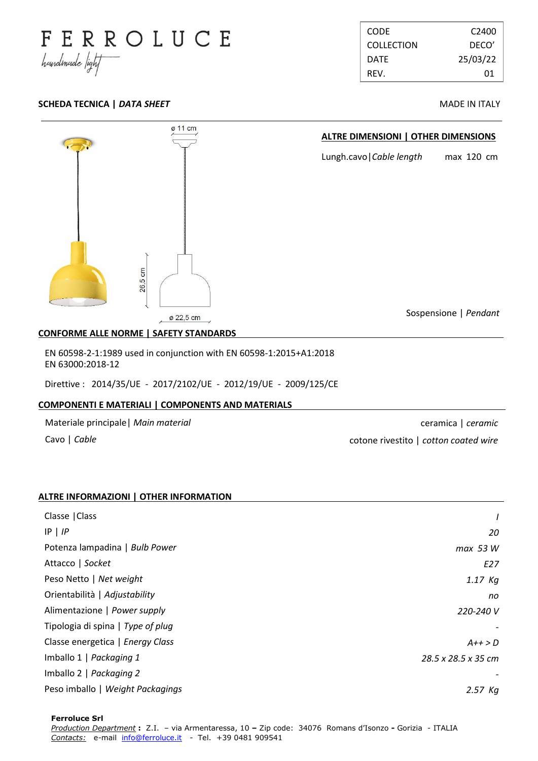

| <b>CODE</b>       | C <sub>2400</sub> |
|-------------------|-------------------|
| <b>COLLECTION</b> | DECO'             |
| DATE              | 25/03/22          |
| REV.              | 01                |

### **SCHEDA TECNICA |** *DATA SHEET* **MADE IN ITALY**



## **CONFORME ALLE NORME | SAFETY STANDARDS .**

EN 60598-2-1:1989 used in conjunction with EN 60598-1:2015+A1:2018 EN 63000:2018-12

Direttive : 2014/35/UE - 2017/2102/UE - 2012/19/UE - 2009/125/CE

### **COMPONENTI E MATERIALI | COMPONENTS AND MATERIALS .**

Materiale principale| *Main material*

Cavo | *Cable*

ceramica | *ceramic* cotone rivestito | *cotton coated wire*

### **ALTRE INFORMAZIONI | OTHER INFORMATION .**

| Classe   Class                    |                     |
|-----------------------------------|---------------------|
| $IP$   $IP$                       | 20                  |
| Potenza lampadina   Bulb Power    | max 53 W            |
| Attacco   Socket                  | E27                 |
| Peso Netto   Net weight           | $1.17$ Kg           |
| Orientabilità   Adjustability     | no                  |
| Alimentazione   Power supply      | 220-240 V           |
| Tipologia di spina   Type of plug |                     |
| Classe energetica   Energy Class  | $A++>D$             |
| Imballo 1   Packaging 1           | 28.5 x 28.5 x 35 cm |
| Imballo 2   Packaging 2           |                     |
| Peso imballo   Weight Packagings  | 2.57 Kg             |